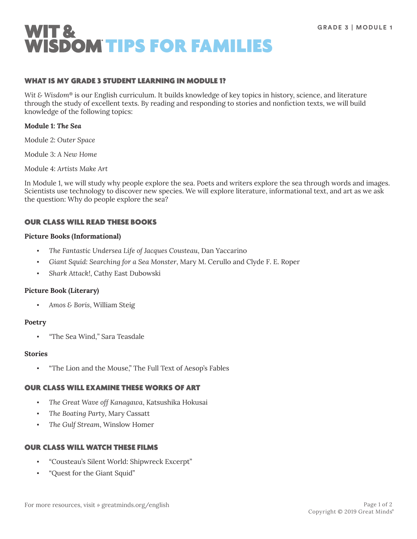

### WHAT IS MY GRADE 3 STUDENT LEARNING IN MODULE 1?

*Wit & Wisdom*® is our English curriculum. It builds knowledge of key topics in history, science, and literature through the study of excellent texts. By reading and responding to stories and nonfiction texts, we will build knowledge of the following topics:

### **Module 1:** *The Sea*

Module 2: *Outer Space*

Module 3: *A New Home*

Module 4: *Artists Make Art*

In Module 1, we will study why people explore the sea. Poets and writers explore the sea through words and images. Scientists use technology to discover new species. We will explore literature, informational text, and art as we ask the question: Why do people explore the sea?

### OUR CLASS WILL READ THESE BOOKS

#### **Picture Books (Informational)**

- *The Fantastic Undersea Life of Jacques Cousteau*, Dan Yaccarino
- *Giant Squid: Searching for a Sea Monster*, Mary M. Cerullo and Clyde F. E. Roper
- *Shark Attack!*, Cathy East Dubowski

### **Picture Book (Literary)**

▪ *Amos & Boris*, William Steig

### **Poetry**

▪ *"*The Sea Wind,*"* Sara Teasdale

### **Stories**

"The Lion and the Mouse," The Full Text of Aesop's Fables

# OUR CLASS WILL EXAMINE THESE WORKS OF ART

- *The Great Wave off Kanagawa*, Katsushika Hokusai
- The Boating Party, Mary Cassatt
- *The Gulf Stream*, Winslow Homer

### OUR CLASS WILL WATCH THESE FILMS

- "Cousteau's Silent World: Shipwreck Excerpt"
- "Quest for the Giant Squid"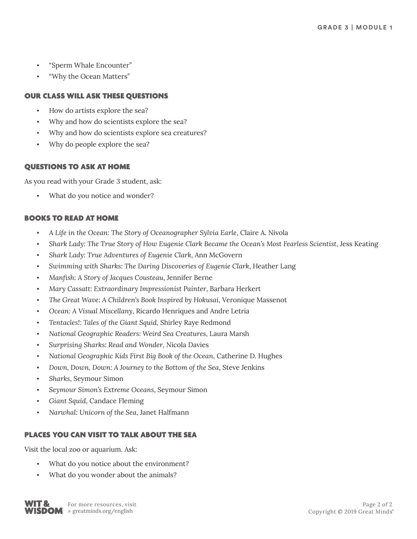- "Sperm Whale Encounter"
- "Why the Ocean Matters"

# OUR CLASS WILL ASK THESE QUESTIONS

- How do artists explore the sea?
- Why and how do scientists explore the sea?
- Why and how do scientists explore sea creatures?
- Why do people explore the sea?

# QUESTIONS TO ASK AT HOME

As you read with your Grade 3 student, ask:

What do you notice and wonder?

# BOOKS TO READ AT HOME

- *A Life in the Ocean: The Story of Oceanographer Sylvia Earle*, Claire A. Nivola
- *Shark Lady: The True Story of How Eugenie Clark Became the Ocean's Most Fearless Scientist*, Jess Keating
- *Shark Lady: True Adventures of Eugenie Clark*, Ann McGovern
- *Swimming with Sharks: The Daring Discoveries of Eugenie Clark*, Heather Lang
- *Manfish: A Story of Jacques Cousteau*, Jennifer Berne
- *Mary Cassatt: Extraordinary Impressionist Painter*, Barbara Herkert
- *The Great Wave: A Children's Book Inspired by Hokusai*, Veronique Massenot
- *Ocean: A Visual Miscellany*, Ricardo Henriques and Andre Letria
- Tentacles!: Tales of the Giant Squid, Shirley Raye Redmond
- *National Geographic Readers: Weird Sea Creatures*, Laura Marsh
- *Surprising Sharks: Read and Wonder*, Nicola Davies
- *National Geographic Kids First Big Book of the Ocean*, Catherine D. Hughes
- *Down, Down, Down: A Journey to the Bottom of the Sea*, Steve Jenkins
- *Sharks*, Seymour Simon
- *Seymour Simon's Extreme Oceans*, Seymour Simon
- Giant Squid, Candace Fleming
- *Narwhal: Unicorn of the Sea*, Janet Halfmann

# PLACES YOU CAN VISIT TO TALK ABOUT THE SEA

Visit the local zoo or aquarium. Ask:

- What do you notice about the environment?
- What do you wonder about the animals?

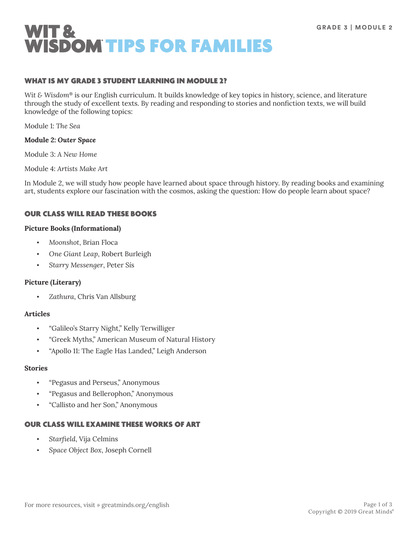

### WHAT IS MY GRADE 3 STUDENT LEARNING IN MODULE 2?

*Wit & Wisdom*® is our English curriculum. It builds knowledge of key topics in history, science, and literature through the study of excellent texts. By reading and responding to stories and nonfiction texts, we will build knowledge of the following topics:

Module 1: *The Sea*

### **Module 2:** *Outer Space*

Module 3: *A New Home*

Module 4: *Artists Make Art*

In Module 2, we will study how people have learned about space through history. By reading books and examining art, students explore our fascination with the cosmos, asking the question: How do people learn about space?

### OUR CLASS WILL READ THESE BOOKS

#### **Picture Books (Informational)**

- *Moonshot*, Brian Floca
- *One Giant Leap*, Robert Burleigh
- *Starry Messenger*, Peter Sís

### **Picture (Literary)**

▪ *Zathura*, Chris Van Allsburg

### **Articles**

- "Galileo's Starry Night," Kelly Terwilliger
- "Greek Myths," American Museum of Natural History
- "Apollo 11: The Eagle Has Landed," Leigh Anderson

#### **Stories**

- "Pegasus and Perseus," Anonymous
- "Pegasus and Bellerophon," Anonymous
- "Callisto and her Son," Anonymous

### OUR CLASS WILL EXAMINE THESE WORKS OF ART

- *Starfield*, Vija Celmins
- *Space Object Box*, Joseph Cornell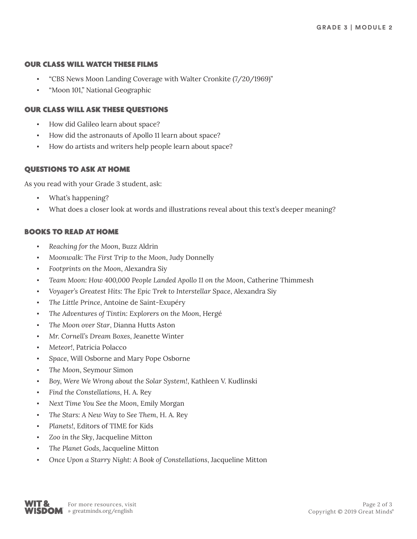### OUR CLASS WILL WATCH THESE FILMS

- "CBS News Moon Landing Coverage with Walter Cronkite (7/20/1969)"
- "Moon 101," National Geographic

## OUR CLASS WILL ASK THESE QUESTIONS

- How did Galileo learn about space?
- How did the astronauts of Apollo 11 learn about space?
- How do artists and writers help people learn about space?

### QUESTIONS TO ASK AT HOME

As you read with your Grade 3 student, ask:

- What's happening?
- What does a closer look at words and illustrations reveal about this text's deeper meaning?

### BOOKS TO READ AT HOME

- *Reaching for the Moon*, Buzz Aldrin
- *Moonwalk: The First Trip to the Moon*, Judy Donnelly
- *Footprints on the Moon*, Alexandra Siy
- *Team Moon: How 400,000 People Landed Apollo 11 on the Moon*, Catherine Thimmesh
- *Voyager's Greatest Hits: The Epic Trek to Interstellar Space*, Alexandra Siy
- *The Little Prince*, Antoine de Saint-Exupéry
- *The Adventures of Tintin: Explorers on the Moon*, Hergé
- *The Moon over Star*, Dianna Hutts Aston
- *Mr. Cornell's Dream Boxes*, Jeanette Winter
- Meteor!, Patricia Polacco
- Space, Will Osborne and Mary Pope Osborne
- The Moon, Seymour Simon
- Boy, Were We Wrong about the Solar System!, Kathleen V. Kudlinski
- *Find the Constellations*, H. A. Rey
- Next Time You See the Moon, Emily Morgan
- *The Stars: A New Way to See Them*, H. A. Rey
- Planets!, Editors of TIME for Kids
- Zoo in the Sky, Jacqueline Mitton
- *The Planet Gods*, Jacqueline Mitton
- *Once Upon a Starry Night: A Book of Constellations*, Jacqueline Mitton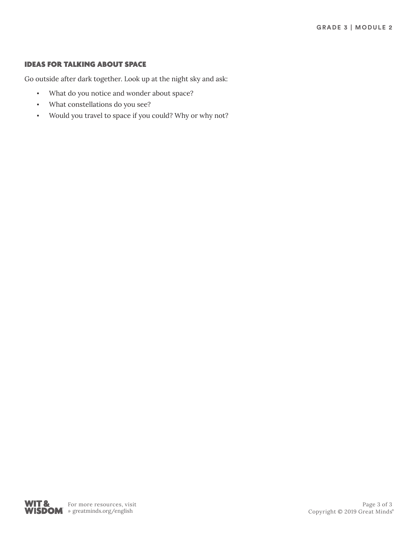# IDEAS FOR TALKING ABOUT SPACE

Go outside after dark together. Look up at the night sky and ask:

- What do you notice and wonder about space?
- What constellations do you see?
- Would you travel to space if you could? Why or why not?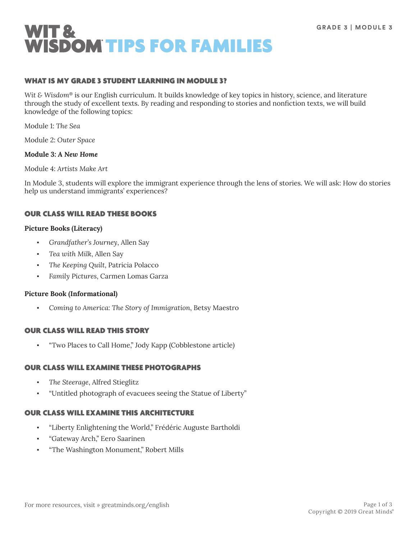

### WHAT IS MY GRADE 3 STUDENT LEARNING IN MODULE 3?

*Wit & Wisdom*® is our English curriculum. It builds knowledge of key topics in history, science, and literature through the study of excellent texts. By reading and responding to stories and nonfiction texts, we will build knowledge of the following topics:

Module 1: *The Sea*

Module 2: *Outer Space*

#### **Module 3:** *A New Home*

Module 4: *Artists Make Art*

In Module 3, students will explore the immigrant experience through the lens of stories. We will ask: How do stories help us understand immigrants' experiences?

### OUR CLASS WILL READ THESE BOOKS

#### **Picture Books (Literacy)**

- *Grandfather's Journey*, Allen Say
- *Tea with Milk*, Allen Say
- The Keeping Quilt, Patricia Polacco
- *Family Pictures*, Carmen Lomas Garza

#### **Picture Book (Informational)**

▪ *Coming to America: The Story of Immigration*, Betsy Maestro

### OUR CLASS WILL READ THIS STORY

▪ "Two Places to Call Home," Jody Kapp (Cobblestone article*)*

### OUR CLASS WILL EXAMINE THESE PHOTOGRAPHS

- *The Steerage*, Alfred Stieglitz
- "Untitled photograph of evacuees seeing the Statue of Liberty"

### OUR CLASS WILL EXAMINE THIS ARCHITECTURE

- "Liberty Enlightening the World," Frédéric Auguste Bartholdi
- "Gateway Arch," Eero Saarinen
- "The Washington Monument," Robert Mills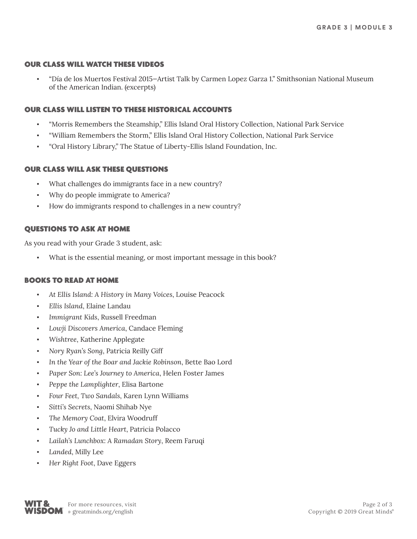### OUR CLASS WILL WATCH THESE VIDEOS

▪ "Día de los Muertos Festival 2015—Artist Talk by Carmen Lopez Garza 1." Smithsonian National Museum of the American Indian. (excerpts)

### OUR CLASS WILL LISTEN TO THESE HISTORICAL ACCOUNTS

- "Morris Remembers the Steamship," Ellis Island Oral History Collection, National Park Service
- "William Remembers the Storm," Ellis Island Oral History Collection, National Park Service
- "Oral History Library," The Statue of Liberty-Ellis Island Foundation, Inc.

### OUR CLASS WILL ASK THESE QUESTIONS

- What challenges do immigrants face in a new country?
- Why do people immigrate to America?
- How do immigrants respond to challenges in a new country?

# QUESTIONS TO ASK AT HOME

As you read with your Grade 3 student, ask:

What is the essential meaning, or most important message in this book?

### BOOKS TO READ AT HOME

- *At Ellis Island: A History in Many Voices*, Louise Peacock
- *Ellis Island*, Elaine Landau
- **Immigrant Kids, Russell Freedman**
- *Lowji Discovers America*, Candace Fleming
- Wishtree, Katherine Applegate
- *Nory Ryan's Song*, Patricia Reilly Giff
- In the Year of the Boar and Jackie Robinson, Bette Bao Lord
- Paper Son: Lee's Journey to America, Helen Foster James
- Peppe the Lamplighter, Elisa Bartone
- *Four Feet, Two Sandals*, Karen Lynn Williams
- *Sitti's Secrets*, Naomi Shihab Nye
- The Memory Coat, Elvira Woodruff
- *Tucky Jo and Little Heart*, Patricia Polacco
- *Lailah's Lunchbox: A Ramadan Story*, Reem Faruqi
- Landed, Milly Lee
- **Her Right Foot, Dave Eggers**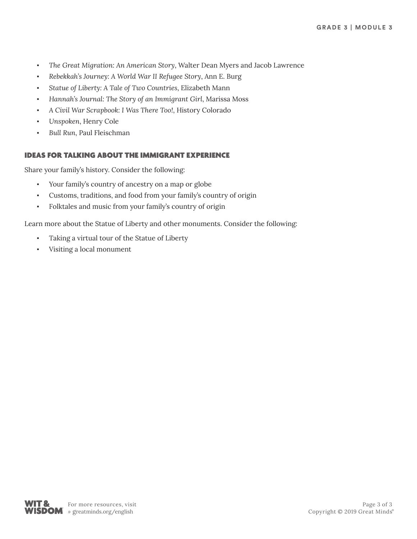- *The Great Migration: An American Story*, Walter Dean Myers and Jacob Lawrence
- *Rebekkah's Journey: A World War II Refugee Story*, Ann E. Burg
- Statue of Liberty: A Tale of Two Countries, Elizabeth Mann
- *Hannah's Journal: The Story of an Immigrant Girl*, Marissa Moss
- *A Civil War Scrapbook: I Was There Too!*, History Colorado
- Unspoken, Henry Cole
- **Bull Run, Paul Fleischman**

# IDEAS FOR TALKING ABOUT THE IMMIGRANT EXPERIENCE

Share your family's history. Consider the following:

- Your family's country of ancestry on a map or globe
- Customs, traditions, and food from your family's country of origin
- Folktales and music from your family's country of origin

Learn more about the Statue of Liberty and other monuments. Consider the following:

- Taking a virtual tour of the Statue of Liberty
- Visiting a local monument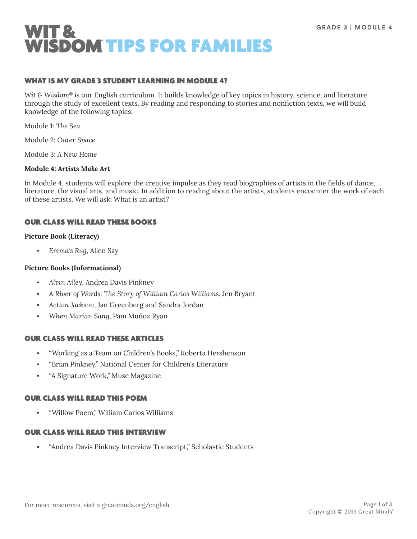

### WHAT IS MY GRADE 3 STUDENT LEARNING IN MODULE 4?

*Wit & Wisdom*® is our English curriculum. It builds knowledge of key topics in history, science, and literature through the study of excellent texts. By reading and responding to stories and nonfiction texts, we will build knowledge of the following topics:

Module 1: *The Sea*

Module 2: *Outer Space*

Module 3: *A New Home*

### **Module 4:** *Artists Make Art*

In Module 4, students will explore the creative impulse as they read biographies of artists in the fields of dance, literature, the visual arts, and music. In addition to reading about the artists, students encounter the work of each of these artists. We will ask: What is an artist?

### OUR CLASS WILL READ THESE BOOKS

#### **Picture Book (Literacy)**

▪ *Emma's Rug,* Allen Say

#### **Picture Books (Informational)**

- *Alvin Ailey*, Andrea Davis Pinkney
- *A River of Words: The Story of William Carlos Williams*, Jen Bryant
- *Action Jackson*, Jan Greenberg and Sandra Jordan
- *When Marian Sang*, Pam Muñoz Ryan

### OUR CLASS WILL READ THESE ARTICLES

- "Working as a Team on Children's Books," Roberta Hershenson
- "Brian Pinkney," National Center for Children's Literature
- "A Signature Work," Muse Magazine

### OUR CLASS WILL READ THIS POEM

▪ "Willow Poem," William Carlos Williams

### OUR CLASS WILL READ THIS INTERVIEW

▪ "Andrea Davis Pinkney Interview Transcript," Scholastic Students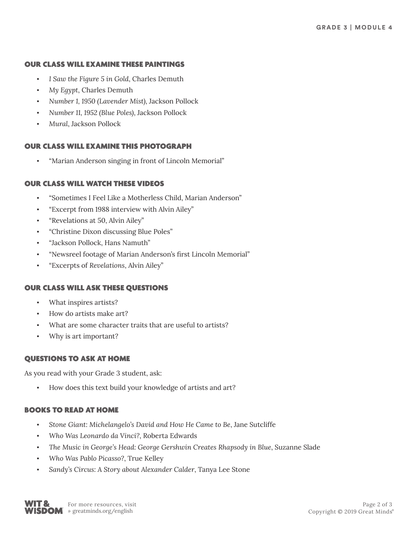### OUR CLASS WILL EXAMINE THESE PAINTINGS

- I Saw the Figure 5 in Gold, Charles Demuth
- *My Egypt*, Charles Demuth
- *Number 1, 1950 (Lavender Mist)*, Jackson Pollock
- *Number 11, 1952 (Blue Poles)*, Jackson Pollock
- *Mural*, Jackson Pollock

### OUR CLASS WILL EXAMINE THIS PHOTOGRAPH

"Marian Anderson singing in front of Lincoln Memorial"

### OUR CLASS WILL WATCH THESE VIDEOS

- "Sometimes I Feel Like a Motherless Child, Marian Anderson"
- "Excerpt from 1988 interview with Alvin Ailey"
- "Revelations at 50, Alvin Ailey"
- "Christine Dixon discussing Blue Poles"
- "Jackson Pollock, Hans Namuth"
- "Newsreel footage of Marian Anderson's first Lincoln Memorial"
- "Excerpts of *Revelations*, Alvin Ailey"

### OUR CLASS WILL ASK THESE QUESTIONS

- What inspires artists?
- How do artists make art?
- What are some character traits that are useful to artists?
- Why is art important?

### QUESTIONS TO ASK AT HOME

As you read with your Grade 3 student, ask:

How does this text build your knowledge of artists and art?

### BOOKS TO READ AT HOME

- Stone Giant: Michelangelo's David and How He Came to Be, Jane Sutcliffe
- *Who Was Leonardo da Vinci?*, Roberta Edwards
- *The Music in George's Head: George Gershwin Creates Rhapsody in Blue*, Suzanne Slade
- *Who Was Pablo Picasso?*, True Kelley
- Sandy's Circus: A Story about Alexander Calder, Tanya Lee Stone